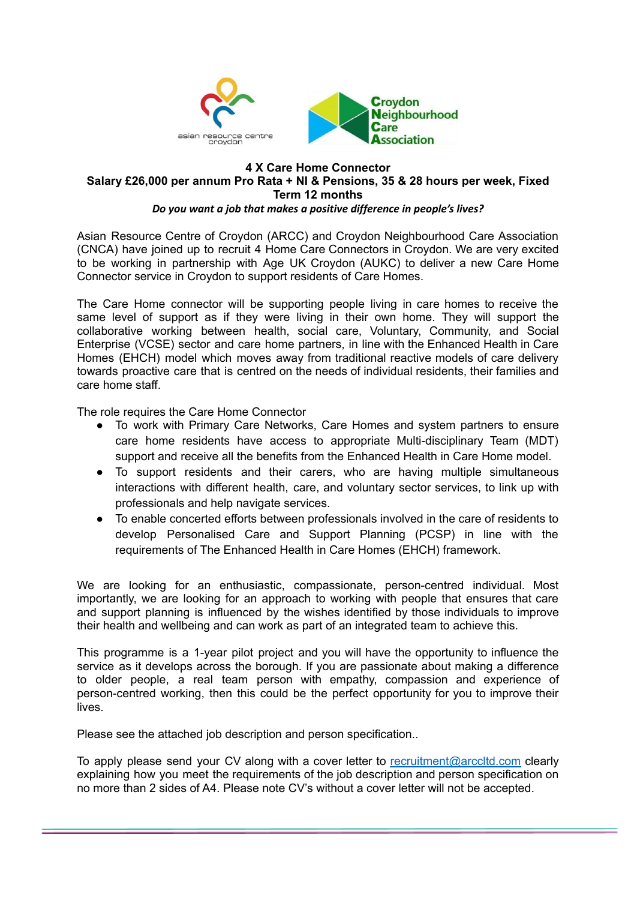

#### **4 X Care Home Connector Salary £26,000 per annum Pro Rata + NI & Pensions, 35 & 28 hours per week, Fixed Term 12 months** *Do you want a job that makes a positive difference in people's lives?*

Asian Resource Centre of Croydon (ARCC) and Croydon Neighbourhood Care Association (CNCA) have joined up to recruit 4 Home Care Connectors in Croydon. We are very excited to be working in partnership with Age UK Croydon (AUKC) to deliver a new Care Home Connector service in Croydon to support residents of Care Homes.

The Care Home connector will be supporting people living in care homes to receive the same level of support as if they were living in their own home. They will support the collaborative working between health, social care, Voluntary, Community, and Social Enterprise (VCSE) sector and care home partners, in line with the Enhanced Health in Care Homes (EHCH) model which moves away from traditional reactive models of care delivery towards proactive care that is centred on the needs of individual residents, their families and care home staff.

The role requires the Care Home Connector

- To work with Primary Care Networks, Care Homes and system partners to ensure care home residents have access to appropriate Multi-disciplinary Team (MDT) support and receive all the benefits from the Enhanced Health in Care Home model.
- To support residents and their carers, who are having multiple simultaneous interactions with different health, care, and voluntary sector services, to link up with professionals and help navigate services.
- To enable concerted efforts between professionals involved in the care of residents to develop Personalised Care and Support Planning (PCSP) in line with the requirements of The Enhanced Health in Care Homes (EHCH) framework.

We are looking for an enthusiastic, compassionate, person-centred individual. Most importantly, we are looking for an approach to working with people that ensures that care and support planning is influenced by the wishes identified by those individuals to improve their health and wellbeing and can work as part of an integrated team to achieve this.

This programme is a 1-year pilot project and you will have the opportunity to influence the service as it develops across the borough. If you are passionate about making a difference to older people, a real team person with empathy, compassion and experience of person-centred working, then this could be the perfect opportunity for you to improve their lives.

Please see the attached job description and person specification..

To apply please send your CV along with a cover letter to [recruitment@arccltd.com](mailto:recruitment@arccltd.com) clearly explaining how you meet the requirements of the job description and person specification on no more than 2 sides of A4. Please note CV's without a cover letter will not be accepted.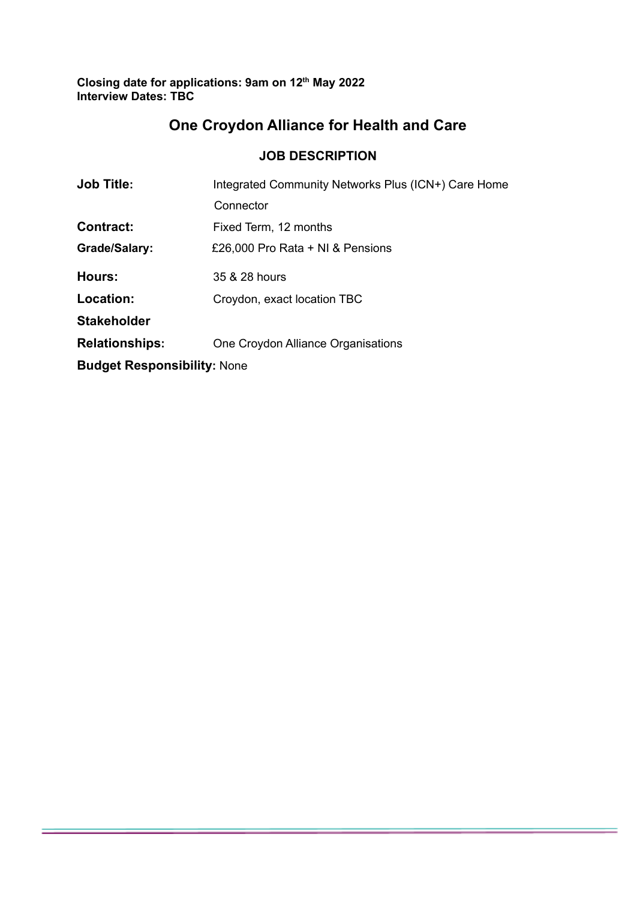**Closing date for applications: 9am on 12 th May 2022 Interview Dates: TBC**

# **One Croydon Alliance for Health and Care**

### **JOB DESCRIPTION**

| <b>Job Title:</b>                  | Integrated Community Networks Plus (ICN+) Care Home |  |  |
|------------------------------------|-----------------------------------------------------|--|--|
|                                    | Connector                                           |  |  |
| <b>Contract:</b>                   | Fixed Term, 12 months                               |  |  |
| Grade/Salary:                      | £26,000 Pro Rata + NI & Pensions                    |  |  |
| <b>Hours:</b>                      | 35 & 28 hours                                       |  |  |
| Location:                          | Croydon, exact location TBC                         |  |  |
| <b>Stakeholder</b>                 |                                                     |  |  |
| <b>Relationships:</b>              | One Croydon Alliance Organisations                  |  |  |
| <b>Budget Responsibility: None</b> |                                                     |  |  |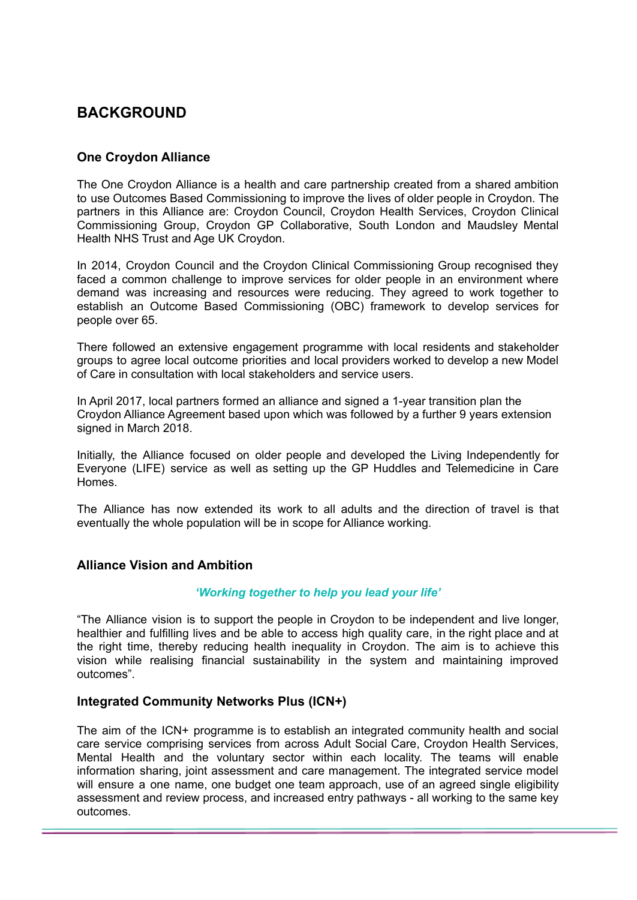# **BACKGROUND**

### **One Croydon Alliance**

The One Croydon Alliance is a health and care partnership created from a shared ambition to use Outcomes Based Commissioning to improve the lives of older people in Croydon. The partners in this Alliance are: Croydon Council, Croydon Health Services, Croydon Clinical Commissioning Group, Croydon GP Collaborative, South London and Maudsley Mental Health NHS Trust and Age UK Croydon.

In 2014, Croydon Council and the Croydon Clinical Commissioning Group recognised they faced a common challenge to improve services for older people in an environment where demand was increasing and resources were reducing. They agreed to work together to establish an Outcome Based Commissioning (OBC) framework to develop services for people over 65.

There followed an extensive engagement programme with local residents and stakeholder groups to agree local outcome priorities and local providers worked to develop a new Model of Care in consultation with local stakeholders and service users.

In April 2017, local partners formed an alliance and signed a 1-year transition plan the Croydon Alliance Agreement based upon which was followed by a further 9 years extension signed in March 2018.

Initially, the Alliance focused on older people and developed the Living Independently for Everyone (LIFE) service as well as setting up the GP Huddles and Telemedicine in Care Homes.

The Alliance has now extended its work to all adults and the direction of travel is that eventually the whole population will be in scope for Alliance working.

### **Alliance Vision and Ambition**

### *'Working together to help you lead your life'*

"The Alliance vision is to support the people in Croydon to be independent and live longer, healthier and fulfilling lives and be able to access high quality care, in the right place and at the right time, thereby reducing health inequality in Croydon. The aim is to achieve this vision while realising financial sustainability in the system and maintaining improved outcomes".

### **Integrated Community Networks Plus (ICN+)**

The aim of the ICN+ programme is to establish an integrated community health and social care service comprising services from across Adult Social Care, Croydon Health Services, Mental Health and the voluntary sector within each locality. The teams will enable information sharing, joint assessment and care management. The integrated service model will ensure a one name, one budget one team approach, use of an agreed single eligibility assessment and review process, and increased entry pathways - all working to the same key outcomes.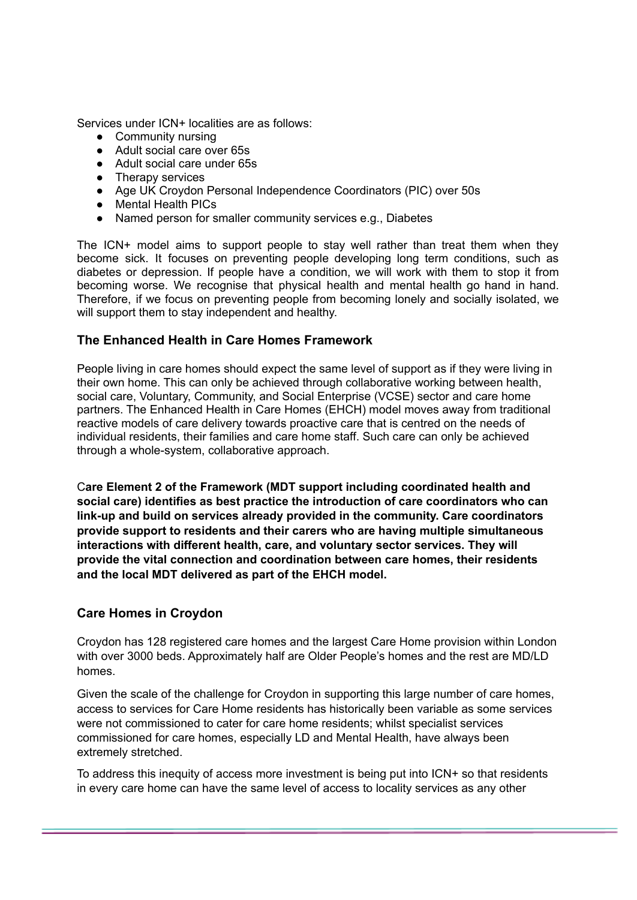Services under ICN+ localities are as follows:

- Community nursing
- Adult social care over 65s
- Adult social care under 65s
- Therapy services
- Age UK Croydon Personal Independence Coordinators (PIC) over 50s
- Mental Health PICs
- Named person for smaller community services e.g., Diabetes

The ICN+ model aims to support people to stay well rather than treat them when they become sick. It focuses on preventing people developing long term conditions, such as diabetes or depression. If people have a condition, we will work with them to stop it from becoming worse. We recognise that physical health and mental health go hand in hand. Therefore, if we focus on preventing people from becoming lonely and socially isolated, we will support them to stay independent and healthy.

### **The Enhanced Health in Care Homes Framework**

People living in care homes should expect the same level of support as if they were living in their own home. This can only be achieved through collaborative working between health, social care, Voluntary, Community, and Social Enterprise (VCSE) sector and care home partners. The Enhanced Health in Care Homes (EHCH) model moves away from traditional reactive models of care delivery towards proactive care that is centred on the needs of individual residents, their families and care home staff. Such care can only be achieved through a whole-system, collaborative approach.

C**are Element 2 of the Framework (MDT support including coordinated health and social care) identifies as best practice the introduction of care coordinators who can link-up and build on services already provided in the community. Care coordinators provide support to residents and their carers who are having multiple simultaneous interactions with different health, care, and voluntary sector services. They will provide the vital connection and coordination between care homes, their residents and the local MDT delivered as part of the EHCH model.**

### **Care Homes in Croydon**

Croydon has 128 registered care homes and the largest Care Home provision within London with over 3000 beds. Approximately half are Older People's homes and the rest are MD/LD homes.

Given the scale of the challenge for Croydon in supporting this large number of care homes, access to services for Care Home residents has historically been variable as some services were not commissioned to cater for care home residents; whilst specialist services commissioned for care homes, especially LD and Mental Health, have always been extremely stretched.

To address this inequity of access more investment is being put into ICN+ so that residents in every care home can have the same level of access to locality services as any other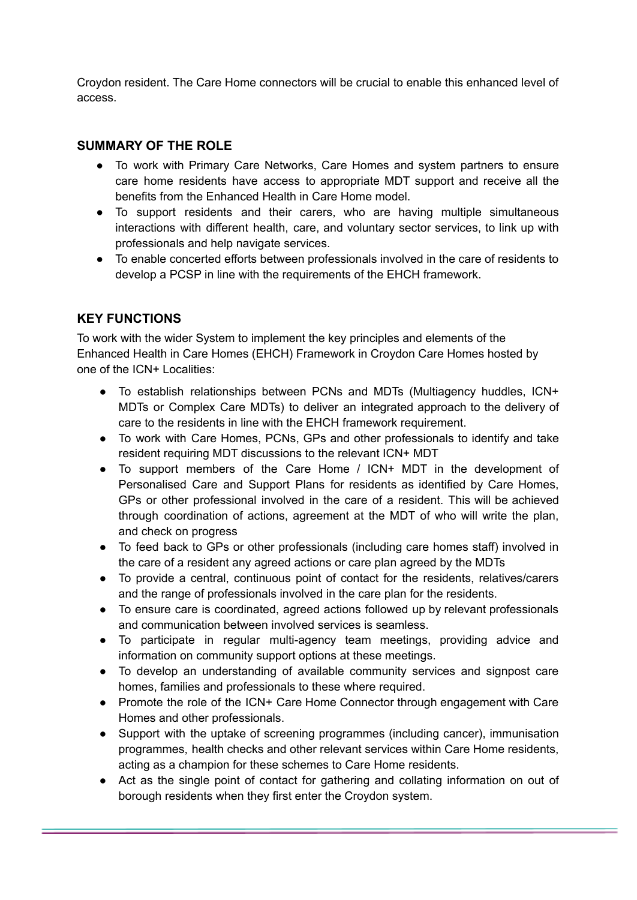Croydon resident. The Care Home connectors will be crucial to enable this enhanced level of access.

### **SUMMARY OF THE ROLE**

- To work with Primary Care Networks, Care Homes and system partners to ensure care home residents have access to appropriate MDT support and receive all the benefits from the Enhanced Health in Care Home model.
- To support residents and their carers, who are having multiple simultaneous interactions with different health, care, and voluntary sector services, to link up with professionals and help navigate services.
- To enable concerted efforts between professionals involved in the care of residents to develop a PCSP in line with the requirements of the EHCH framework.

### **KEY FUNCTIONS**

To work with the wider System to implement the key principles and elements of the Enhanced Health in Care Homes (EHCH) Framework in Croydon Care Homes hosted by one of the ICN+ Localities:

- To establish relationships between PCNs and MDTs (Multiagency huddles, ICN+ MDTs or Complex Care MDTs) to deliver an integrated approach to the delivery of care to the residents in line with the EHCH framework requirement.
- To work with Care Homes, PCNs, GPs and other professionals to identify and take resident requiring MDT discussions to the relevant ICN+ MDT
- To support members of the Care Home / ICN+ MDT in the development of Personalised Care and Support Plans for residents as identified by Care Homes, GPs or other professional involved in the care of a resident. This will be achieved through coordination of actions, agreement at the MDT of who will write the plan, and check on progress
- To feed back to GPs or other professionals (including care homes staff) involved in the care of a resident any agreed actions or care plan agreed by the MDTs
- To provide a central, continuous point of contact for the residents, relatives/carers and the range of professionals involved in the care plan for the residents.
- To ensure care is coordinated, agreed actions followed up by relevant professionals and communication between involved services is seamless.
- To participate in regular multi-agency team meetings, providing advice and information on community support options at these meetings.
- To develop an understanding of available community services and signpost care homes, families and professionals to these where required.
- Promote the role of the ICN+ Care Home Connector through engagement with Care Homes and other professionals.
- Support with the uptake of screening programmes (including cancer), immunisation programmes, health checks and other relevant services within Care Home residents, acting as a champion for these schemes to Care Home residents.
- Act as the single point of contact for gathering and collating information on out of borough residents when they first enter the Croydon system.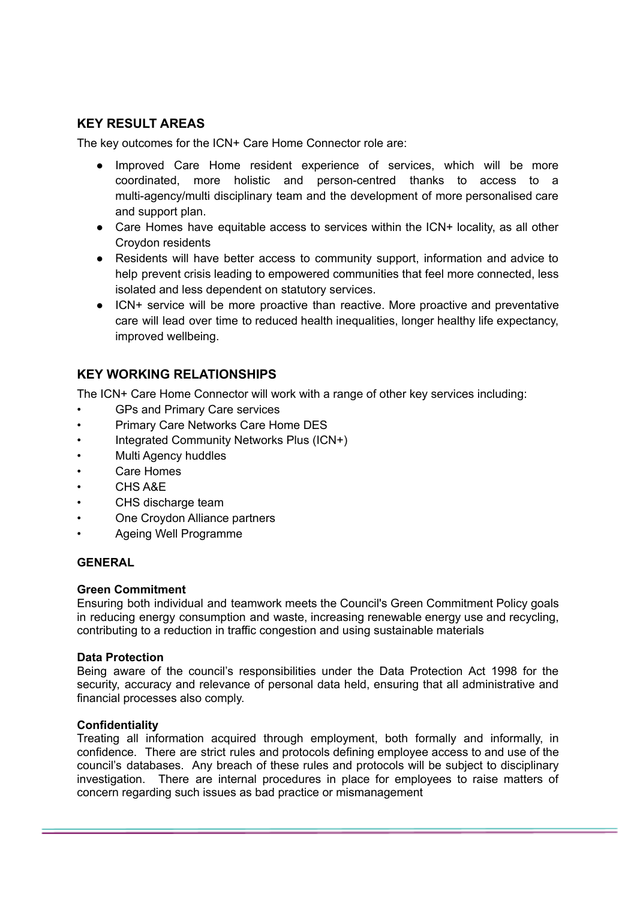### **KEY RESULT AREAS**

The key outcomes for the ICN+ Care Home Connector role are:

- Improved Care Home resident experience of services, which will be more coordinated, more holistic and person-centred thanks to access to a multi-agency/multi disciplinary team and the development of more personalised care and support plan.
- Care Homes have equitable access to services within the ICN+ locality, as all other Croydon residents
- Residents will have better access to community support, information and advice to help prevent crisis leading to empowered communities that feel more connected, less isolated and less dependent on statutory services.
- ICN+ service will be more proactive than reactive. More proactive and preventative care will lead over time to reduced health inequalities, longer healthy life expectancy, improved wellbeing.

### **KEY WORKING RELATIONSHIPS**

The ICN+ Care Home Connector will work with a range of other key services including:

- GPs and Primary Care services
- Primary Care Networks Care Home DES
- Integrated Community Networks Plus (ICN+)
- Multi Agency huddles
- Care Homes
- CHS A&E
- CHS discharge team
- One Croydon Alliance partners
- Ageing Well Programme

### **GENERAL**

### **Green Commitment**

Ensuring both individual and teamwork meets the Council's Green Commitment Policy goals in reducing energy consumption and waste, increasing renewable energy use and recycling, contributing to a reduction in traffic congestion and using sustainable materials

### **Data Protection**

Being aware of the council's responsibilities under the Data Protection Act 1998 for the security, accuracy and relevance of personal data held, ensuring that all administrative and financial processes also comply.

### **Confidentiality**

Treating all information acquired through employment, both formally and informally, in confidence. There are strict rules and protocols defining employee access to and use of the council's databases. Any breach of these rules and protocols will be subject to disciplinary investigation. There are internal procedures in place for employees to raise matters of concern regarding such issues as bad practice or mismanagement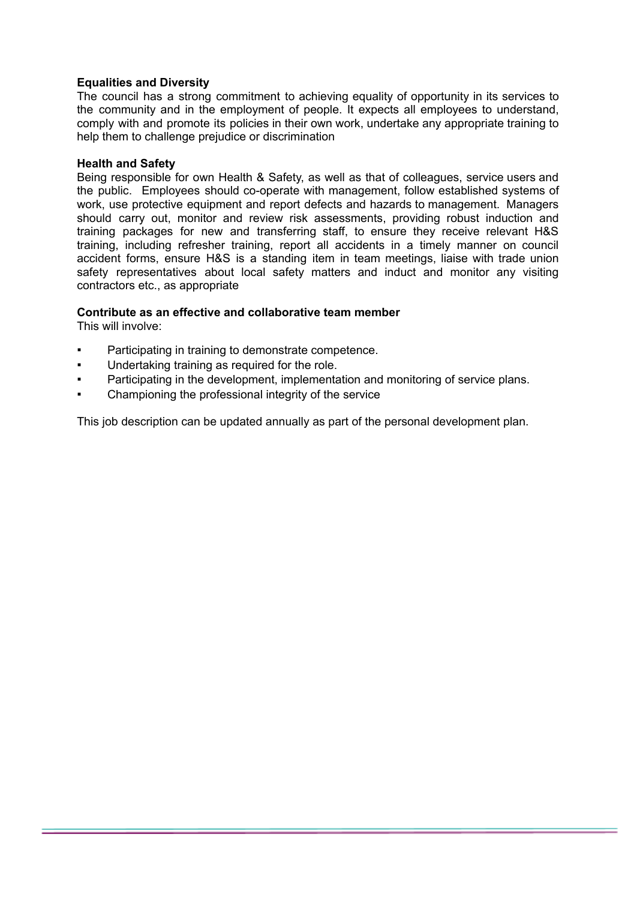### **Equalities and Diversity**

The council has a strong commitment to achieving equality of opportunity in its services to the community and in the employment of people. It expects all employees to understand, comply with and promote its policies in their own work, undertake any appropriate training to help them to challenge prejudice or discrimination

#### **Health and Safety**

Being responsible for own Health & Safety, as well as that of colleagues, service users and the public. Employees should co-operate with management, follow established systems of work, use protective equipment and report defects and hazards to management. Managers should carry out, monitor and review risk assessments, providing robust induction and training packages for new and transferring staff, to ensure they receive relevant H&S training, including refresher training, report all accidents in a timely manner on council accident forms, ensure H&S is a standing item in team meetings, liaise with trade union safety representatives about local safety matters and induct and monitor any visiting contractors etc., as appropriate

### **Contribute as an effective and collaborative team member**

This will involve:

- Participating in training to demonstrate competence.
- Undertaking training as required for the role.
- Participating in the development, implementation and monitoring of service plans.
- Championing the professional integrity of the service

This job description can be updated annually as part of the personal development plan.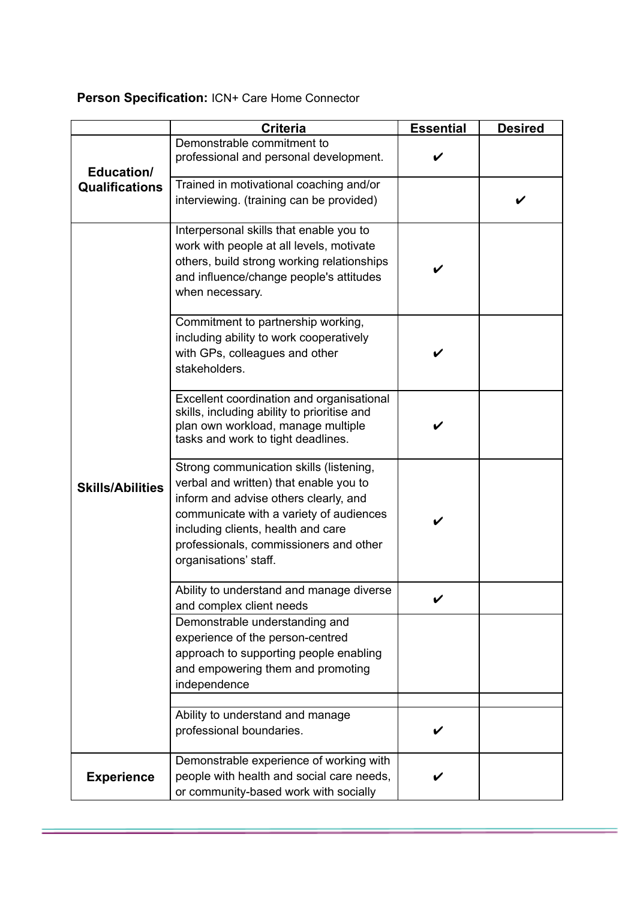# **Person Specification:** ICN+ Care Home Connector

|                                     | <b>Criteria</b>                                                                                                                                                                                                                                                                | <b>Essential</b> | <b>Desired</b> |
|-------------------------------------|--------------------------------------------------------------------------------------------------------------------------------------------------------------------------------------------------------------------------------------------------------------------------------|------------------|----------------|
| Education/<br><b>Qualifications</b> | Demonstrable commitment to<br>professional and personal development.                                                                                                                                                                                                           | V                |                |
|                                     | Trained in motivational coaching and/or<br>interviewing. (training can be provided)                                                                                                                                                                                            |                  |                |
| <b>Skills/Abilities</b>             | Interpersonal skills that enable you to<br>work with people at all levels, motivate<br>others, build strong working relationships<br>and influence/change people's attitudes<br>when necessary.                                                                                |                  |                |
|                                     | Commitment to partnership working,<br>including ability to work cooperatively<br>with GPs, colleagues and other<br>stakeholders.                                                                                                                                               |                  |                |
|                                     | Excellent coordination and organisational<br>skills, including ability to prioritise and<br>plan own workload, manage multiple<br>tasks and work to tight deadlines.                                                                                                           |                  |                |
|                                     | Strong communication skills (listening,<br>verbal and written) that enable you to<br>inform and advise others clearly, and<br>communicate with a variety of audiences<br>including clients, health and care<br>professionals, commissioners and other<br>organisations' staff. |                  |                |
|                                     | Ability to understand and manage diverse<br>and complex client needs                                                                                                                                                                                                           |                  |                |
|                                     | Demonstrable understanding and<br>experience of the person-centred<br>approach to supporting people enabling<br>and empowering them and promoting<br>independence                                                                                                              |                  |                |
|                                     | Ability to understand and manage<br>professional boundaries.                                                                                                                                                                                                                   | V                |                |
| <b>Experience</b>                   | Demonstrable experience of working with<br>people with health and social care needs,<br>or community-based work with socially                                                                                                                                                  |                  |                |

Ē.